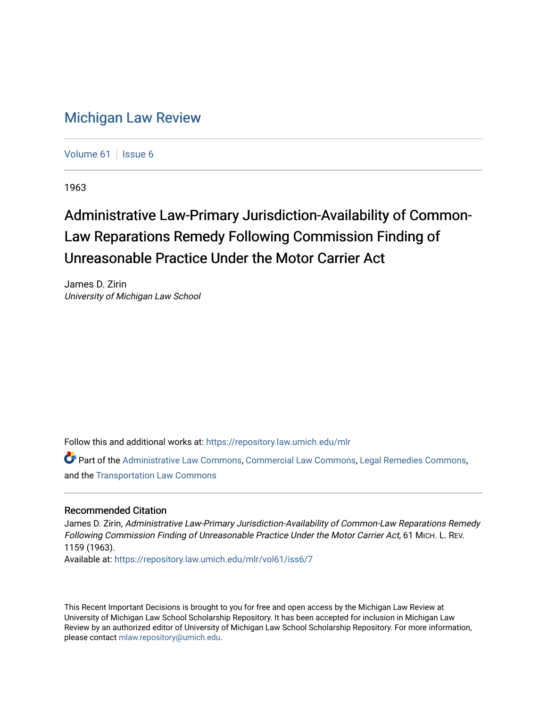## [Michigan Law Review](https://repository.law.umich.edu/mlr)

[Volume 61](https://repository.law.umich.edu/mlr/vol61) | [Issue 6](https://repository.law.umich.edu/mlr/vol61/iss6)

1963

## Administrative Law-Primary Jurisdiction-Availability of Common-Law Reparations Remedy Following Commission Finding of Unreasonable Practice Under the Motor Carrier Act

James D. Zirin University of Michigan Law School

Follow this and additional works at: [https://repository.law.umich.edu/mlr](https://repository.law.umich.edu/mlr?utm_source=repository.law.umich.edu%2Fmlr%2Fvol61%2Fiss6%2F7&utm_medium=PDF&utm_campaign=PDFCoverPages) 

Part of the [Administrative Law Commons,](http://network.bepress.com/hgg/discipline/579?utm_source=repository.law.umich.edu%2Fmlr%2Fvol61%2Fiss6%2F7&utm_medium=PDF&utm_campaign=PDFCoverPages) [Commercial Law Commons](http://network.bepress.com/hgg/discipline/586?utm_source=repository.law.umich.edu%2Fmlr%2Fvol61%2Fiss6%2F7&utm_medium=PDF&utm_campaign=PDFCoverPages), [Legal Remedies Commons](http://network.bepress.com/hgg/discipline/618?utm_source=repository.law.umich.edu%2Fmlr%2Fvol61%2Fiss6%2F7&utm_medium=PDF&utm_campaign=PDFCoverPages), and the [Transportation Law Commons](http://network.bepress.com/hgg/discipline/885?utm_source=repository.law.umich.edu%2Fmlr%2Fvol61%2Fiss6%2F7&utm_medium=PDF&utm_campaign=PDFCoverPages)

## Recommended Citation

James D. Zirin, Administrative Law-Primary Jurisdiction-Availability of Common-Law Reparations Remedy Following Commission Finding of Unreasonable Practice Under the Motor Carrier Act, 61 MICH. L. REV. 1159 (1963).

Available at: [https://repository.law.umich.edu/mlr/vol61/iss6/7](https://repository.law.umich.edu/mlr/vol61/iss6/7?utm_source=repository.law.umich.edu%2Fmlr%2Fvol61%2Fiss6%2F7&utm_medium=PDF&utm_campaign=PDFCoverPages)

This Recent Important Decisions is brought to you for free and open access by the Michigan Law Review at University of Michigan Law School Scholarship Repository. It has been accepted for inclusion in Michigan Law Review by an authorized editor of University of Michigan Law School Scholarship Repository. For more information, please contact [mlaw.repository@umich.edu.](mailto:mlaw.repository@umich.edu)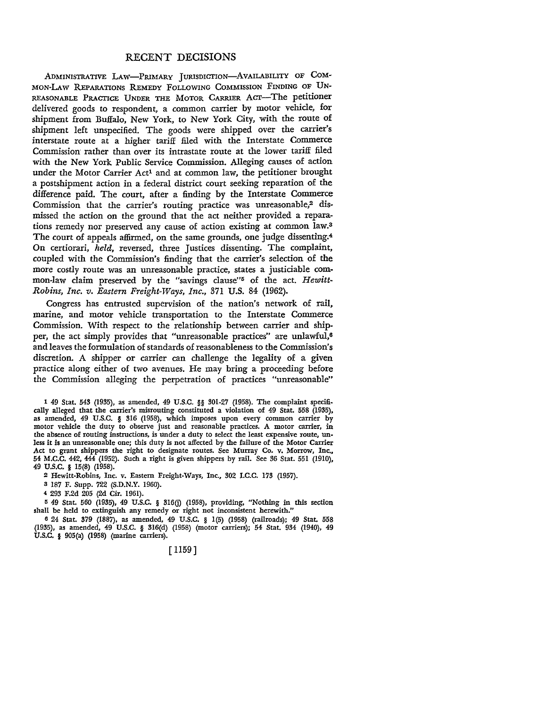## RECENT DECISIONS

ADMINISTRATIVE LAW-PRIMARY JURISDICTION-AVAILABILITY OF COM· MON-LAW REPARATIONS REMEDY FOLLOWING COMMISSION FINDING OF UN-REASONABLE PRACTICE UNDER THE MOTOR CARRIER ACT-The petitioner delivered goods to respondent, a common carrier by motor vehicle, for shipment from Buffalo, New York, to New York City, with the route of shipment left unspecified. The goods were shipped over the carrier's interstate route at a higher tariff filed with the Interstate Commerce Commission rather than over its intrastate route at the lower tariff filed with the New York Public Service Commission. Alleging causes of action under the Motor Carrier Act<sup>1</sup> and at common law, the petitioner brought a postshipment action in a federal district court seeking reparation of the difference paid. The court, after a finding by the Interstate Commerce Commission that the carrier's routing practice was unreasonable,<sup>2</sup> dismissed the action on the ground that the act neither provided a reparations remedy nor preserved any cause of action existing at common law.<sup>3</sup> The court of appeals affirmed, on the same grounds, one judge dissenting.<sup>4</sup> **On** certiorari, *held,* reversed, three Justices dissenting. The complaint, coupled with the Commission's finding that the carrier's selection of the more costly route was an unreasonable practice, states a justiciable common-law claim preserved by the "savings clause"5 of the act. *Hewitt-Robins, Inc. v. Eastern Freight-Ways, Inc.,* 371 U.S. 84 (1962).

Congress has entrusted supervision of the nation's network of rail, marine, and motor vehicle transportation to the Interstate Commerce Commission. With respect to the relationship between carrier and shipper, the act simply provides that "unreasonable practices" are unlawful,<sup>6</sup> and leaves the formulation of standards of reasonableness to the Commission's discretion. A shipper or carrier can challenge the legality of a given practice along either of two avenues. He may bring a proceeding before the Commission alleging the perpetration of practices "unreasonable"

1 49 Stat. 543 (1935), as amended, 49 U.S.C. §§ 301-27 (1958). The complaint specifically alleged that the carrier's misrouting constituted a violation of 49 Stat. 558 (1935), as amended, 49 U.S.C. § 316 (1958), which imposes upon every common carrier by motor vehicle the duty to observe just and reasonable practices. A motor carrier, in the absence of routing instructions, is under a duty to select the least expensive route, unless it is an unreasonable one; this duty is not affected by the failure of the Motor Carrier Act to grant shippers the right to designate routes. See Murray Co. v. Morrow, Inc., 54 M.C.C. 442, 444 (1952). Such a right is given shippers by rail. See 36 Stat. 551 (1910), 49 u.s.c. § 15(8) (1958).

2 Hewitt-Robins, Inc. v. Eastern Freight-Ways, Inc., 302 I.C.C. 173 (1957).

3 187 F. Supp. 722 (S.D.N.Y. 1960).

4 293 F.2d 205 (2d Cir. 1961).

<sup>5</sup>49 Stat. 560 (1935), 49 U.S.C. § 316(j) (1958), providing, "Nothing in this section shall be held to extinguish any remedy or right not inconsistent herewith."

6 24 Stat. 379 (1887), as amended, 49 U.S.C. § 1(5) (1958) (railroads); 49 Stat. 558 (1935), as amended, 49 U.S.C. § 316(d) (1958) (motor carriers); 54 Stat. 934 (1940), 49 U.S.C. § 905(a) (1958) (marine carriers).

[ 1159]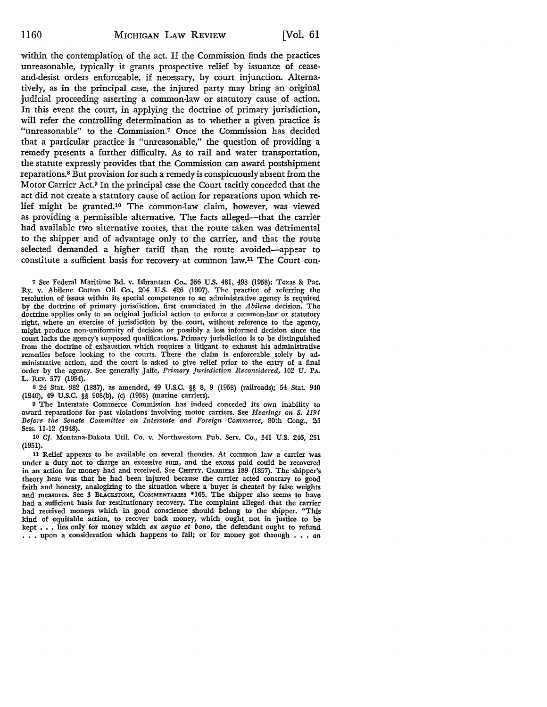within the contemplation of the act. If the Commission finds the practices unreasonable, typically it grants prospective relief by issuance of ceaseand-desist orders enforceable, if necessary, by court injunction. Alternatively, as in the principal case, the injured party may bring an original judicial proceeding asserting a common-law or statutory cause of action. In this event the court, in applying the doctrine of primary jurisdiction, will refer the controlling determination as to whether a given practice is "unreasonable" to the Commission.7 Once the Commission has decided that a particular practice is "unreasonable," the question of providing a remedy presents a further difficulty. As to rail and water transportation, the statute expressly provides that the Commission can award postshipment reparations. 8 But provision for such a remedy is conspicuously absent from the Motor Carrier Act.9 In the principal case the Court tacitly conceded that the act did not create a statutory cause of action for reparations upon which relief might be granted.10 The common-law claim, however, was viewed as providing a permissible alternative. The facts alleged--that the carrier had available two alternative routes, that the route taken was detrimental to the shipper and of advantage only to the carrier, and that the route selected demanded a higher tariff than the route avoided-appear to constitute a sufficient basis for recovery at common law.11 The Court con-

7 See Federal Maritime Bd. v. Isbrantsen *Co.,* 356 U.S. 481, 498 (1958); Texas &: Pac. Ry. v. Abilene Cotton Oil Co., 204 U.S. 426 (1907). The practice of referring the resolution of issues within its special competence to an administrative agency is required by the doctrine of primary jurisdiction, first enunciated in the *Abilene* decision. The doctrine applies only to an original judicial action to enforce a common-law or statutory right, where an exercise of jurisdiction by the court, without reference to the agency, might produce non-uniformity of decision or possibly a less informed decision since the court lacks the agency's supposed qualifications. Primary jurisdiction is to be distinguished from the doctrine of exhaustion which requires a litigant to exhaust his administrative remedies before looking to the courts. There the claim is enforceable solely by administrative action, and the court is asked to give relief prior to the entry of a final order by the agency. See generally Jaffe, *Primary Jurisdiction Reconsidered,* 102 U. PA. L. REV. 577 (1954).

s 24 Stat. 382 (1887), as amended, 49 U.S.C. §§ 8, 9 (1958) (railroads); 54 Stat. 940 (1940), 49 U.S.C. §§ 908(b), (c) (1958) (marine carriers).

<sup>9</sup>The Interstate Commerce Commission has indeed conceded its own inability to award reparations for past violations involving motor carriers. See *Hearings on S. 1194 Before the Senate Committee on Interstate and Foreign Commerce,* 80th Cong., 2d Sess. ll-12 (1948).

10 *Cf.* Montana-Dakota Util. Co. v. Northwestern Pub. Serv. Co., 341 U.S. 246, 251 (1951).

11 Relief appears to be available on several theories. At common law a carrier was under a duty not to charge an excessive sum, and the excess paid could be recovered in an action for money had and received. See CHITTY, CARRIERS 189 (1857). The shipper's theory here was that he had been injured because the carrier acted contrary to good faith and honesty, analogizing to the situation where a buyer is cheated by false weights and measures. See 3 BLACKSTONE, CoMMENTARIES •165. The shipper also seems to have had a sufficient basis for restitutionary recovery. The complaint alleged that the carrier had received moneys which in good conscience should belong to the shipper. "This kind of equitable action, to recover back money, which ought not in justice to be kept • • • lies only for money which *ex aequo et bono,* the defendant ought to refund . • . upon a consideration which happens to fail; or for money got through • • • *an*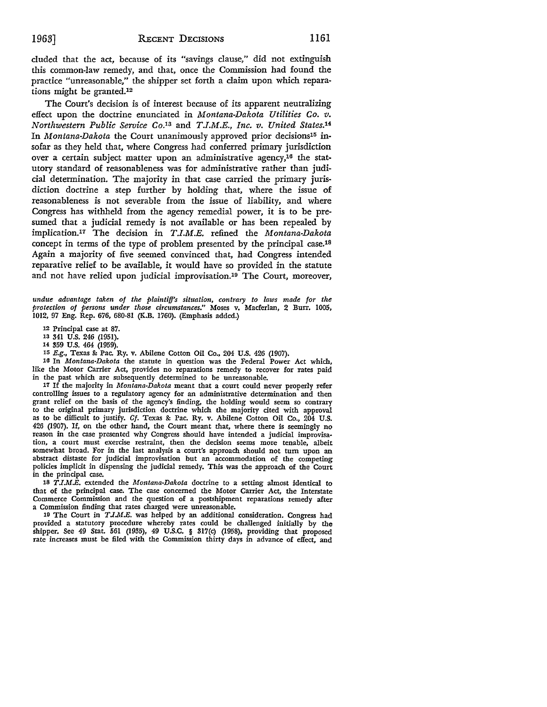eluded that the act, because of its "savings clause," did not extinguish this common-law remedy, and that, once the Commission had found the practice "unreasonable," the shipper set forth a claim upon which reparations might be granted.12

The Court's decision is of interest because of its apparent neutralizing effect upon the doctrine enunciated in *Montana-Dakota Utilities Co. v. Northwestern Public Service* Co.13 and *T.I.M.E., Inc. v. United States.14*  In *Montana-Dakota* the Court unanimously approved prior decisions15 insofar as they held that, where Congress had conferred primary jurisdiction over a certain subject matter upon an administrative agency,16 the statutory standard of reasonableness was for administrative rather than judicial determination. The majority in that case carried the primary jurisdiction doctrine a step further by holding that, where the issue of reasonableness is not severable from the issue of liability, and where Congress has withheld from the agency remedial power, it is to be presumed that a judicial remedy is not available or has been repealed by implication.17 The decision in *T.I.M.E.* refined the *Montana-Dakota*  concept in terms of the type of problem presented by the principal case.18 Again a majority of five seemed convinced that, had Congress intended reparative relief to be available, it would have so provided in the statute and not have relied upon judicial improvisation.19 The Court, moreover,

*undue advantage taken of the plaintiff's situation, contrary to laws made for the protection of persons under those circumstances."* Moses v. Macferlan, 2 Burr. 1005, 1012, 97 Eng. Rep. 676, 680-81 (K.B. 1760). (Emphasis added.)

12 Principal case at 87.

13 341 U.S. 246 (1951).

14 359 U.S. 464 (1959).

15 E.g., Texas & Pac. Ry. v. Abilene Cotton Oil Co., 204 U.S. 426 (1907).

16 In *Montana-Dakota* the statute in question was the Federal Power Act which, like the Motor Carrier Act, provides no reparations remedy to recover for rates paid in the past which are subsequently determined to be unreasonable.

<sup>17</sup>If the majority in *Montana-Dakota* meant that a court could never properly refer controlling issues to a regulatory agency for an administrative determination and then grant relief on the basis of the agency's finding, the holding would seem so contrary to the original primary jurisdiction doctrine which the majority cited with approval as to be difficult to justify. *Cf.* Texas & Pac. Ry. v. Abilene Cotton Oil Co., 204 U.S. 426 (1907). If, on the other hand, the Court meant that, where there is seemingly no reason in the case presented why Congress should have intended a judicial improvisation, a court must exercise restraint, then the decision seems more tenable, albeit somewhat broad. For in the last analysis a court's approach should not tum upon an abstract distaste for judicial improvisation but an accommodation of the competing policies implicit in dispensing the judicial remedy. This was the approach of the Court in the principal case.

1s *T .I.M ..E.* extended the *Montana-Dakota* doctrine to a setting almost identical to that of the principal case. The case concerned the Motor Carrier Act, the Interstate Commerce Commission and the question of a postshipment reparations remedy after a Commission finding that rates charged were unreasonable.

19 The Court in *T .I.M.E.* was helped by an additional consideration. Congress had provided a statutory procedure whereby rates could be challenged initially by the shipper. See 49 Stat. 561 (1935), 49 U.S.C. § 317(c) (1958), providing that proposed rate increases must be filed with the Commission thirty days in advance of effect, and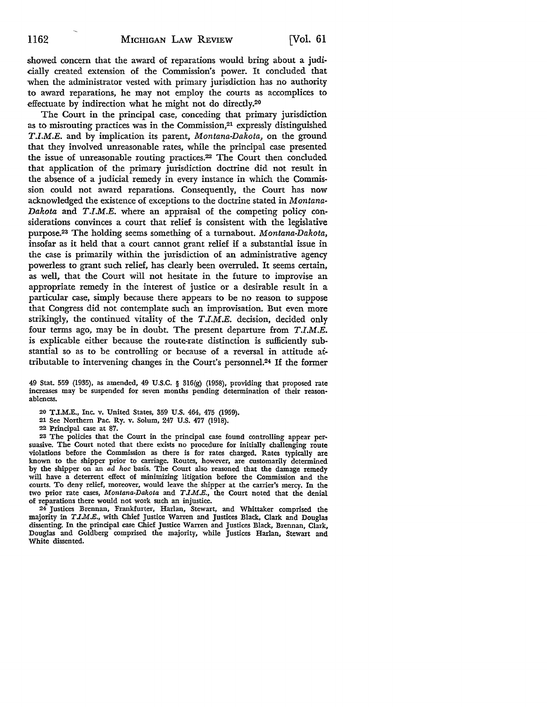showed concern that the award of reparations would bring about a judicially created extension of the Commission's power. It concluded that when the administrator vested with primary jurisdiction has no authority to award reparations, he may not employ the courts as accomplices to effectuate by indirection what he might not do directly.20

The Court in the principal case, conceding that primary jurisdiction as to misrouting practices was in the Commission,<sup>21</sup> expressly distinguished *T.I.M.E.* and by implication its parent, *Montana-Dakota,* on the ground that they involved unreasonable rates, while the principal case presented the issue of unreasonable routing practices.<sup>22</sup> The Court then concluded that application of the primary jurisdiction doctrine did not result in the absence of a judicial remedy in every instance in which the Commission could not award reparations. Consequently, the Court has now acknowledged the existence of exceptions to the doctrine stated in *Montana-Dakota* and *T.I.M.E.* where an appraisal of the competing policy considerations convinces a court that relief is consistent with the legislative purpose.23 The holding seems something of a turnabout. *Montana-Dakota,*  insofar as it held that a court cannot grant relief if a substantial issue in the case is primarily within the jurisdiction of an administrative agency powerless to grant such relief, has clearly been overruled. It seems certain, as well, that the Court will not hesitate in the future to improvise an appropriate remedy in the interest of justice or a desirable result in a particular case, simply because there appears to be no reason to suppose that Congress did not contemplate such an improvisation. But even more strikingly, the continued vitality of the *T.l.M.E.* decision, decided only four terms ago, may be in doubt. The present departure from *T.I.M.E.*  is explicable either because the route-rate distinction is sufficiently substantial so as to be controlling or because of a reversal in attitude attributable to intervening changes in the Court's personnel.24 If the former

49 Stat. 559 (1935), as amended, 49 U.S.C. § 316(g) (1958), providing that proposed rate increases may be suspended for seven months pending determination of their reason• ableness.

- 20 T.I.M.E., Inc. v. United States, 359 U.S. 464, 475 (1959).
- 21 See Northern Pac. Ry. v. Solum, 247 U.S. 477 (1918).
- 22 Principal case at 87.

23 The policies that the Court in the principal case found controlling appear persuasive. The Court noted that there exists no procedure for initially challenging route violations before the Commission as there is for rates charged. Rates typically are known to the shipper prior to carriage. Routes, however, are customarily determined by the shipper on an *ad hoc* basis. The Court also reasoned that the damage remedy will have a deterrent effect of minimizing litigation before the Commission and the courts. To deny relief, moreover, would leave the shipper at the carrier's mercy. In the two prior rate cases, *Montana-Dakota* and *T .IM.E.,* the Court noted that the denial of reparations there would not work such an injustice.

24 Justices Brennan, Frankfurter, Harlan, Stewart, and Whittaker comprised the majority in *T.I.M.E.*, with Chief Justice Warren and Justices Black, Clark and Douglas dissenting. In the principal case Chief Justice Warren and Justices Black, Brennan, Clark, Douglas and Goldberg comprised the majority, while Justices Harlan, Stewart and White dissented.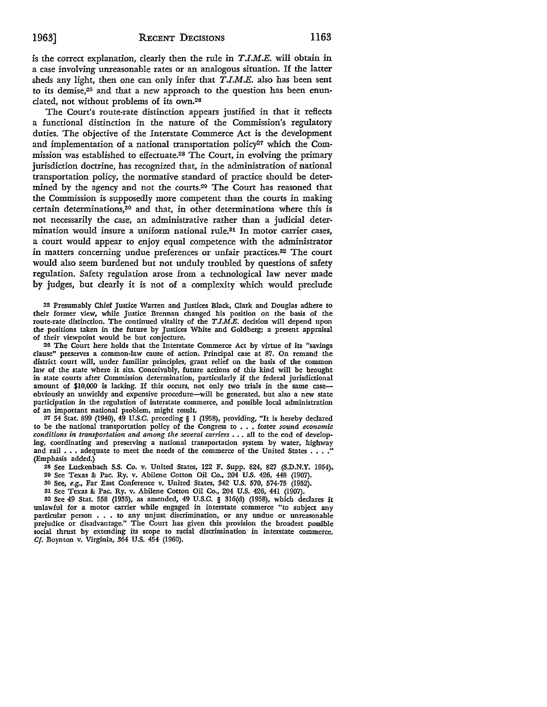is the correct explanation, clearly then the rule in  $T.I.M.E.$  will obtain in a case involving unreasonable rates or an analogous situation. If the latter sheds any light, then one can only infer that  $T.I.M.E.$  also has been sent to its demise,25 and that a new approach to the question has been enunciated, not without problems of its own.26

The Court's route-rate distinction appears justified in that it reflects a functional distinction in the nature of the Commission's regulatory duties. The objective of the Interstate Commerce Act is the development and implementation of a national transportation policy<sup>27</sup> which the Commission was established to effectuate.28 The Court, in evolving the primary jurisdiction doctrine, has recognized that, in the administration of national transportation policy, the normative standard of practice should be determined by the agency and not the courts.29 The Court has reasoned that the Commission is supposedly more competent than the courts in making certain determinations,30 and that, in other determinations where this is not necessarily the case, an administrative rather than a judicial determination would insure a uniform national rule.31 In motor carrier cases, a court would appear to enjoy equal competence with the administrator in matters concerning undue preferences or unfair practices.82 The court would also seem burdened but not unduly troubled by questions of safety regulation. Safety regulation arose from a technological law never made by judges, but clearly it is not of a complexity which would preclude

25 Presumably Chief Justice Warren and Justices Black, Clark and Douglas adhere to their former view, while Justice Brennan changed his position on the basis of the route-rate distinction. The continued vitality of the  $T J.M.E.$  decision will depend upon the positions taken in the future by Justices White and Goldberg; a present appraisal of their viewpoint would be but conjecture.

26 The Court here holds that the Interstate Commerce Act by virtue of its "savings clause" preserves a common-law cause of action. Principal case at 87. On remand the district court will, under familiar principles, grant relief on the basis of the common law of the state where it sits. Conceivably, future actions of this kind will be brought in state courts after Commission determination, particularly if the federal jurisdictional amount of \$10,000 is lacking. If this occurs, not only two trials in the same caseobviously an unwieldy and expensive procedure-will be generated, but also a new state participation in the regulation of interstate commerce, and possible local administration of an important national problem, might result.

27 54 Stat. 899 (1940), 49 U.S.C. preceding § 1 (1958), providing, "It is hereby declared to be the national transportation policy of the Congress to . • • foster *sound economic*  conditions in transportation and among the several carriers . . . all to the end of developing, coordinating and preserving a national transportation system by water, highway and rail  $\ldots$  adequate to meet the needs of the commerce of the United States ... (Emphasis added.)

28 See Luckenbach S.S. Co. v. United States, 122 F. Supp. 824, 827 (S.D.N.Y. 1954)-

- 20 See Texas &: Pac. Ry. v. Abilene Cotton Oil Co., 204 U.S. 426, 448 (1907).
- 30 See, *e.g.,* Far East Conference v. United States, 342 U.S. 570, 574-75 (1952).
- 

31 See Texas &: Pac. Ry. v. Abilene Cotton Oil Co., 204 U.S. 426, 441 (1907). 32 See 49 Stat. 558 (1935), as amended, 49 U.S.C. § 316(d) (1958), which declares it unlawful for a motor carrier while engaged in interstate commerce "to subject any particular person . • . to any unjust discrimination, or any undue or unreasonable prejudice or disadvantage.'' The Court has given this provision the broadest possible social thrust by extending its scope to racial discrimination in interstate commerce. *Cf.* Boynton v. Virginia, 364 U.S. 454 (1960).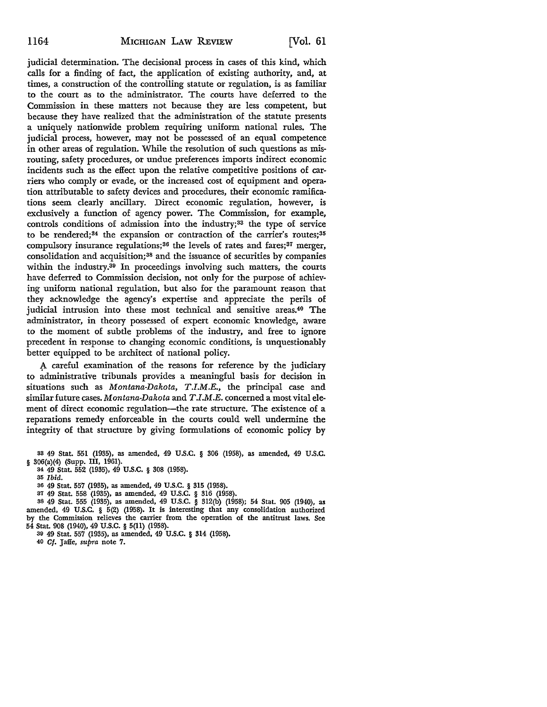judicial determination. The decisional process in cases of this kind, which calls for a finding of fact, the application of existing authority, and, at times, a construction of the controlling statute or regulation, is as familiar to the court as to the administrator. The courts have deferred to the Commission in these matters not because they are less competent, but because they have realized that the administration of the statute presents a uniquely nationwide problem requiring uniform national rules. The judicial process, however, may not be possessed of an equal competence in other areas of regulation. While the resolution of such questions as misrouting, safety procedures, or undue preferences imports indirect economic incidents such as the effect upon the relative competitive positions of carriers who comply or evade, or the increased cost of equipment and operation attributable to safety devices and procedures, their economic ramifications seem clearly ancillary. Direct economic regulation, however, is exclusively a function of agency power. The Commission, for example, controls conditions of admission into the industry;<sup>33</sup> the type of service to be rendered; $34$  the expansion or contraction of the carrier's routes; $35$ compulsory insurance regulations;<sup>36</sup> the levels of rates and fares;<sup>37</sup> merger, consolidation and acquisition;38 and the issuance of securities by companies within the industry.39 In proceedings involving such matters, the courts have deferred to Commission decision, not only for the purpose of achieving uniform national regulation, but also for the paramount reason that they acknowledge the agency's expertise and appreciate the perils of judicial intrusion into these most technical and sensitive areas.40 The administrator, in theory possessed of expert economic knowledge, aware to the moment of subtle problems of the industry, and free to ignore precedent in response to changing economic conditions, is unquestionably better equipped to be architect of national policy.

A careful examination of the reasons for reference by the judiciary to administrative tribunals provides a meaningful basis for decision in situations such as *Montana-Dakota, T.I.M.E.,* the principal case and similar future cases. *Montana-Dakota* and *T.I.M.E.* concerned a most vital element of direct economic regulation-the rate structure. The existence of a reparations remedy enforceable in the courts could well undermine the integrity of that structure by giving formulations of economic policy by

- 86 49 Stat. 557 (1935), as amended, 49 U.S.C. § 315 (1958).
- 87 49 Stat. 558 (1935), as amended, 49 U.S.C. § 316 (1958).
- 38 49 Stat. 555 (1935), as amended, 49 U.S.C. § 312(b) (1958); 54 Stat. 905 (1940), as amended, 49 U.S.C. § 5(2) (1958). It is interesting that any consolidation authorized by the Commission relieves the carrier from the operation of the antitrust laws. See 54 Stat. 908 (1940), 49 U.S.C. § 5(11) (1958).
	- 89 49 Stat. 557 (1935), as amended, 49 U.S.C. § 314 (1958).
	- 40 Cf. Jaffe, *supra* note 7.

ss 49 Stat. 551 (1935), as amended, 49 U.S.C. § 306 (1958), as amended, 49 U.S.C.  $§ 306(a)(4)$  (Supp. III, 1961).

<sup>34</sup> 49 Stat. 552 (1935), 49 U.S.C. § 308 (1958).

<sup>85</sup> *Ibid.*